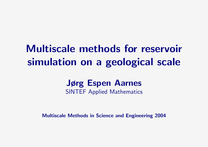# Multiscale methods for reservoir simulation on a geological scale

## Jørg Espen Aarnes SINTEF Applied Mathematics

Multiscale Methods in Science and Engineering 2004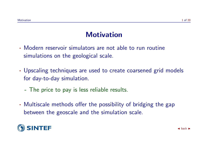#### **Motivation**

- · Modern reservoir simulators are not able to run routine simulations on the geological scale.
- · Upscaling techniques are used to create coarsened grid models for day-to-day simulation.
	- The price to pay is less reliable results.
- · Multiscale methods offer the possibility of bridging the gap between the geoscale and the simulation scale.

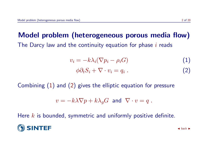# Model problem (heterogeneous porous media flow) The Darcy law and the continuity equation for phase  $i$  reads

<span id="page-2-0"></span>
$$
v_i = -k\lambda_i(\nabla p_i - \rho_i G) \tag{1}
$$

$$
\phi \partial_t S_i + \nabla \cdot v_i = q_i \tag{2}
$$

Combining [\(1\)](#page-2-0) and [\(2\)](#page-2-0) gives the elliptic equation for pressure

$$
v = -k\lambda \nabla p + k\lambda_g G \text{ and } \nabla \cdot v = q.
$$

Here  $k$  is bounded, symmetric and uniformly positive definite.

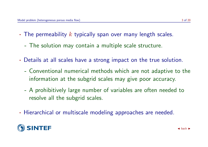- The permeability  $k$  typically span over many length scales.
	- The solution may contain a multiple scale structure.
- · Details at all scales have a strong impact on the true solution.
	- Conventional numerical methods which are not adaptive to the information at the subgrid scales may give poor accuracy.
	- A prohibitively large number of variables are often needed to resolve all the subgrid scales.
- · Hierarchical or multiscale modeling approaches are needed.

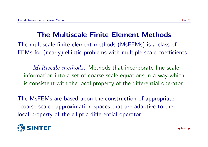# The Multiscale Finite Element Methods

The multiscale finite element methods (MsFEMs) is a class of FEMs for (nearly) elliptic problems with multiple scale coefficients.

*Multiscale methods*: Methods that incorporate fine scale information into a set of coarse scale equations in a way which is consistent with the local property of the differential operator.

The MsFEMs are based upon the construction of appropriate "coarse-scale" approximation spaces that are adaptive to the local property of the elliptic differential operator.

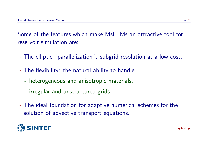Some of the features which make MsFEMs an attractive tool for reservoir simulation are:

- · The elliptic "parallelization": subgrid resolution at a low cost.
- · The flexibility: the natural ability to handle
	- heterogeneous and anisotropic materials,
	- irregular and unstructured grids.
- · The ideal foundation for adaptive numerical schemes for the solution of advective transport equations.

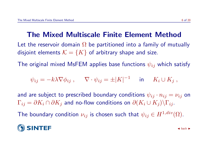### The Mixed Multiscale Finite Element Method

Let the reservoir domain  $\Omega$  be partitioned into a family of mutually disjoint elements  $\mathcal{K} = \{K\}$  of arbitrary shape and size.

The original mixed MsFEM applies base functions  $\psi_{ij}$  which satisfy

$$
\psi_{ij} = -k\lambda \nabla \phi_{ij} , \qquad \nabla \cdot \psi_{ij} = \pm |K|^{-1} \quad \text{in} \quad K_i \cup K_j ,
$$

and are subject to prescribed boundary conditions  $\psi_{ij} \cdot n_{ij} = \nu_{ij}$  on  $\Gamma_{ij} = \partial K_i \cap \partial K_j$  and no-flow conditions on  $\partial (K_i \cup K_j) \backslash \Gamma_{ij}$ .

The boundary condition  $\nu_{ij}$  is chosen such that  $\psi_{ij} \in H^{1,div}(\Omega)$ .

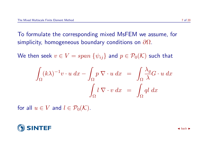To formulate the corresponding mixed MsFEM we assume, for simplicity, homogeneous boundary conditions on  $\partial\Omega$ .

We then seek  $v \in V = span \{\psi_{ij}\}\$ and  $p \in \mathcal{P}_0(\mathcal{K})$  such that

$$
\int_{\Omega} (k\lambda)^{-1} v \cdot u \, dx - \int_{\Omega} p \, \nabla \cdot u \, dx = \int_{\Omega} \frac{\lambda_g}{\lambda} G \cdot u \, dx
$$

$$
\int_{\Omega} l \, \nabla \cdot v \, dx = \int_{\Omega} q l \, dx
$$

for all  $u \in V$  and  $l \in \mathcal{P}_0(\mathcal{K})$ .

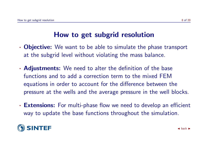# How to get subgrid resolution

- **Objective:** We want to be able to simulate the phase transport at the subgrid level without violating the mass balance.
- · Adjustments: We need to alter the definition of the base functions and to add a correction term to the mixed FEM equations in order to account for the difference between the pressure at the wells and the average pressure in the well blocks.
- **Extensions:** For multi-phase flow we need to develop an efficient way to update the base functions throughout the simulation.

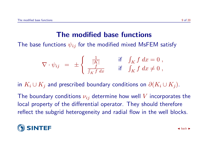#### The modified base functions

The base functions  $\psi_{ij}$  for the modified mixed MsFEM satisfy

$$
\nabla \cdot \psi_{ij} = \pm \begin{cases} \frac{1}{|K|} & \text{if } \int_K f \, dx = 0, \\ \frac{f}{\int_K f \, dx} & \text{if } \int_K f \, dx \neq 0, \end{cases}
$$

in  $K_i \cup K_j$  and prescribed boundary conditions on  $\partial (K_i \cup K_j)$ .

The boundary conditions  $\nu_{ij}$  determine how well V incorporates the local property of the differential operator. They should therefore reflect the subgrid heterogeneity and radial flow in the well blocks.

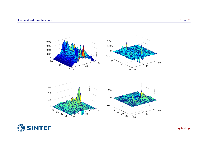



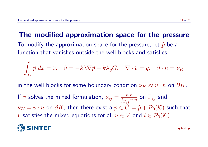#### The modified approximation space for the pressure

To modify the approximation space for the pressure, let  $\hat{p}$  be a function that vanishes outside the well blocks and satisfies

$$
\int_K \hat{p} \, dx = 0, \quad \hat{v} = -k\lambda \nabla \hat{p} + k\lambda_g G, \quad \nabla \cdot \hat{v} = q, \quad \hat{v} \cdot n = \nu_K
$$

in the well blocks for some boundary condition  $\nu_K \approx v \cdot n$  on  $\partial K$ .

If v solves the mixed formulation,  $\nu_{ij} = \frac{v \cdot n}{\int_{\Gamma_{i}} v}$  $\Gamma_{\bm i\bm j}$  $\frac{n}{v\cdot n}$  on  $\Gamma_{ij}$  and  $\nu_K = v \cdot n$  on  $\partial K$ , then there exist a  $p \in \check{U} = \hat{p} + \mathcal{P}_0(\mathcal{K})$  such that v satisfies the mixed equations for all  $u \in V$  and  $l \in \mathcal{P}_0(\mathcal{K})$ .

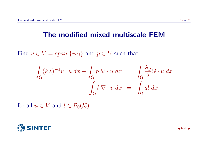#### The modified mixed multiscale FEM

Find  $v \in V = span \{\psi_{ij}\}\$ and  $p \in U$  such that

$$
\int_{\Omega} (k\lambda)^{-1} v \cdot u \, dx - \int_{\Omega} p \, \nabla \cdot u \, dx = \int_{\Omega} \frac{\lambda_g}{\lambda} G \cdot u \, dx
$$

$$
\int_{\Omega} l \, \nabla \cdot v \, dx = \int_{\Omega} q l \, dx
$$

for all  $u \in V$  and  $l \in \mathcal{P}_0(\mathcal{K})$ .

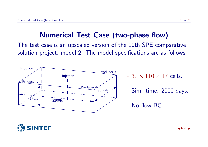#### Numerical Test Case (two-phase flow)

The test case is an upscaled version of the 10th SPE comparative solution project, model 2. The model specifications are as follows.



- $\cdot$  30  $\times$  110  $\times$  17 cells.
- · Sim. time: 2000 days.
- · No-flow BC.

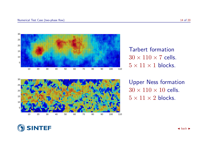





Upper Ness formation  $30 \times 110 \times 10$  cells.  $5 \times 11 \times 2$  blocks.

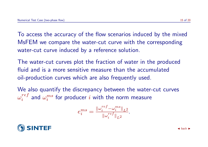To access the accuracy of the flow scenarios induced by the mixed MsFEM we compare the water-cut curve with the corresponding water-cut curve induced by a reference solution.

The water-cut curves plot the fraction of water in the produced fluid and is a more sensitive measure than the accumulated oil-production curves which are also frequently used.

We also quantify the discrepancy between the water-cut curves  $\omega_i^{ref}$  $\frac{ref}{i}$  and  $\omega_i^{ms}$  $\frac{ms}{i}$  for producer  $i$  with the norm measure

$$
e_i^{ms} = \frac{\left\|\omega_i^{ref} - \omega_i^{ms}\right\|_{L^2}}{\left\|\omega_i^{ref}\right\|_{L^2}}.
$$

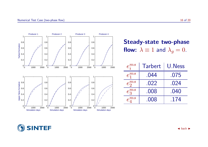

Steady-state two-phase flow:  $\lambda \equiv 1$  and  $\lambda_g = 0$ .

| $e_i^{ms}$ | Tarbert | U.Ness |
|------------|---------|--------|
| $e_1^{ms}$ | .044    | .075   |
| $e_2^{ms}$ | .022    | .024   |
| $e_3^{ms}$ | .008    | .040   |
| $e_n^{ms}$ | .008    | .174   |

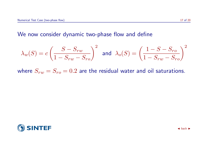#### We now consider dynamic two-phase flow and define

$$
\lambda_w(S) = c \left( \frac{S - S_{rw}}{1 - S_{rw} - S_{ro}} \right)^2 \quad \text{and} \quad \lambda_o(S) = \left( \frac{1 - S - S_{ro}}{1 - S_{rw} - S_{ro}} \right)^2
$$

where  $S_{rw} = S_{ro} = 0.2$  are the residual water and oil saturations.

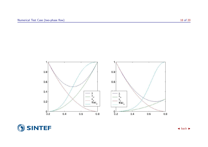

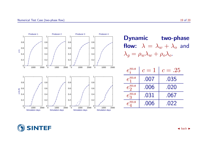

| <b>Dynamic</b> | two-phase                                          |  |
|----------------|----------------------------------------------------|--|
|                | <b>flow:</b> $\lambda = \lambda_w + \lambda_o$ and |  |
|                | $\lambda_q = \rho_w \lambda_w + \rho_o \lambda_o.$ |  |

| $e_i^{ms}$ | $c=1$ | $c=.25$ |
|------------|-------|---------|
| $e_1^{ms}$ | .007  | .035    |
| $e_2^{ms}$ | .006  | .020    |
| $e_3^{ms}$ | .031  | .067    |
| $e_n^{ms}$ | .006  | .022    |